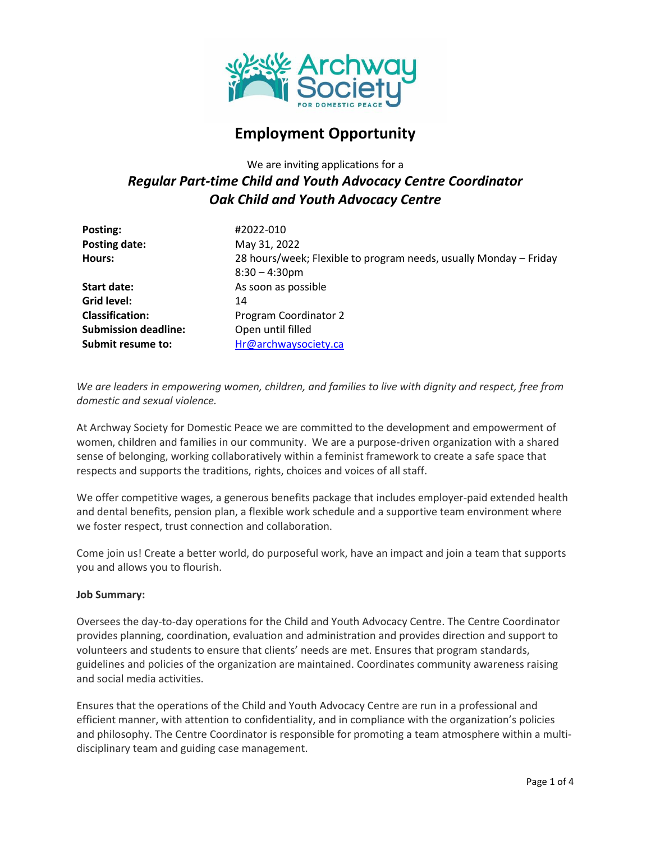

# **Employment Opportunity**

We are inviting applications for a

# *Regular Part-time Child and Youth Advocacy Centre Coordinator Oak Child and Youth Advocacy Centre*

| Posting:                    | #2022-010                                                         |
|-----------------------------|-------------------------------------------------------------------|
| Posting date:               | May 31, 2022                                                      |
| Hours:                      | 28 hours/week; Flexible to program needs, usually Monday - Friday |
|                             | $8:30 - 4:30$ pm                                                  |
| <b>Start date:</b>          | As soon as possible                                               |
| Grid level:                 | 14                                                                |
| <b>Classification:</b>      | Program Coordinator 2                                             |
| <b>Submission deadline:</b> | Open until filled                                                 |
| Submit resume to:           | Hr@archwaysociety.ca                                              |

*We are leaders in empowering women, children, and families to live with dignity and respect, free from domestic and sexual violence.*

At Archway Society for Domestic Peace we are committed to the development and empowerment of women, children and families in our community. We are a purpose-driven organization with a shared sense of belonging, working collaboratively within a feminist framework to create a safe space that respects and supports the traditions, rights, choices and voices of all staff.

We offer competitive wages, a generous benefits package that includes employer-paid extended health and dental benefits, pension plan, a flexible work schedule and a supportive team environment where we foster respect, trust connection and collaboration.

Come join us! Create a better world, do purposeful work, have an impact and join a team that supports you and allows you to flourish.

#### **Job Summary:**

Oversees the day-to-day operations for the Child and Youth Advocacy Centre. The Centre Coordinator provides planning, coordination, evaluation and administration and provides direction and support to volunteers and students to ensure that clients' needs are met. Ensures that program standards, guidelines and policies of the organization are maintained. Coordinates community awareness raising and social media activities.

Ensures that the operations of the Child and Youth Advocacy Centre are run in a professional and efficient manner, with attention to confidentiality, and in compliance with the organization's policies and philosophy. The Centre Coordinator is responsible for promoting a team atmosphere within a multidisciplinary team and guiding case management.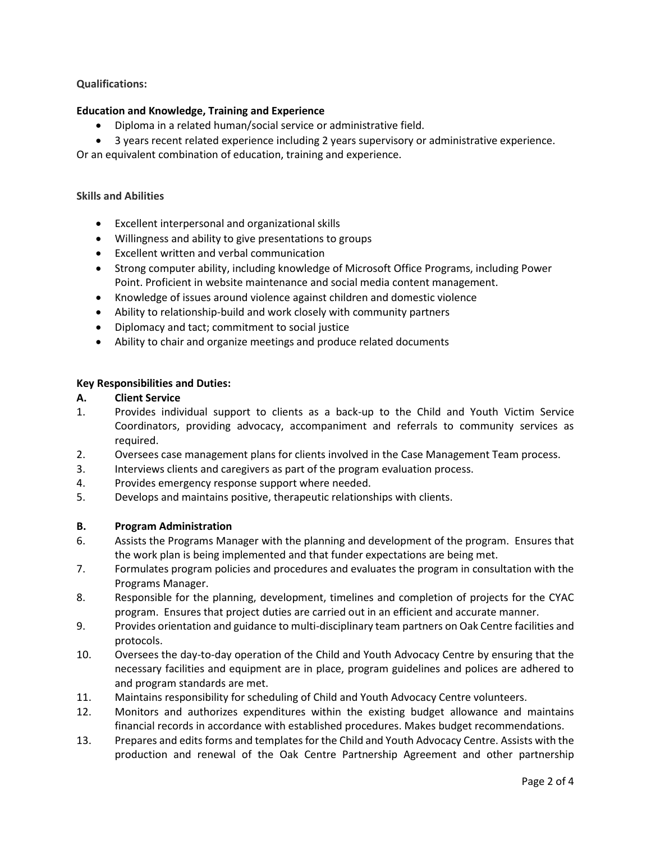## **Qualifications:**

#### **Education and Knowledge, Training and Experience**

- Diploma in a related human/social service or administrative field.
- 3 years recent related experience including 2 years supervisory or administrative experience.

Or an equivalent combination of education, training and experience.

#### **Skills and Abilities**

- Excellent interpersonal and organizational skills
- Willingness and ability to give presentations to groups
- Excellent written and verbal communication
- Strong computer ability, including knowledge of Microsoft Office Programs, including Power Point. Proficient in website maintenance and social media content management.
- Knowledge of issues around violence against children and domestic violence
- Ability to relationship-build and work closely with community partners
- Diplomacy and tact; commitment to social justice
- Ability to chair and organize meetings and produce related documents

#### **Key Responsibilities and Duties:**

- **A. Client Service**
- 1. Provides individual support to clients as a back-up to the Child and Youth Victim Service Coordinators, providing advocacy, accompaniment and referrals to community services as required.
- 2. Oversees case management plans for clients involved in the Case Management Team process.
- 3. Interviews clients and caregivers as part of the program evaluation process.
- 4. Provides emergency response support where needed.
- 5. Develops and maintains positive, therapeutic relationships with clients.

#### **B. Program Administration**

- 6. Assists the Programs Manager with the planning and development of the program. Ensures that the work plan is being implemented and that funder expectations are being met.
- 7. Formulates program policies and procedures and evaluates the program in consultation with the Programs Manager.
- 8. Responsible for the planning, development, timelines and completion of projects for the CYAC program. Ensures that project duties are carried out in an efficient and accurate manner.
- 9. Provides orientation and guidance to multi-disciplinary team partners on Oak Centre facilities and protocols.
- 10. Oversees the day-to-day operation of the Child and Youth Advocacy Centre by ensuring that the necessary facilities and equipment are in place, program guidelines and polices are adhered to and program standards are met.
- 11. Maintains responsibility for scheduling of Child and Youth Advocacy Centre volunteers.
- 12. Monitors and authorizes expenditures within the existing budget allowance and maintains financial records in accordance with established procedures. Makes budget recommendations.
- 13. Prepares and edits forms and templates for the Child and Youth Advocacy Centre. Assists with the production and renewal of the Oak Centre Partnership Agreement and other partnership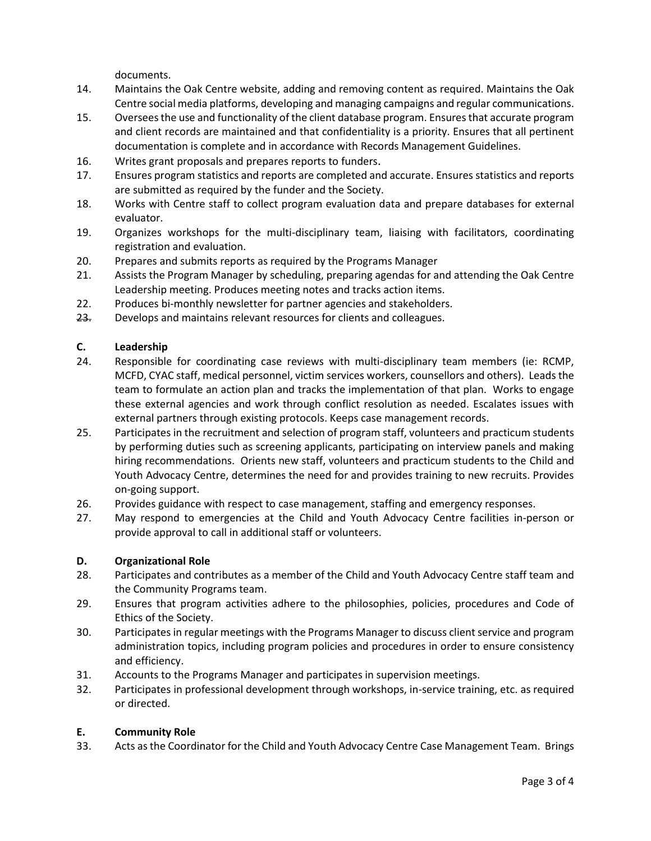documents.

- 14. Maintains the Oak Centre website, adding and removing content as required. Maintains the Oak Centre social media platforms, developing and managing campaigns and regular communications.
- 15. Oversees the use and functionality of the client database program. Ensures that accurate program and client records are maintained and that confidentiality is a priority. Ensures that all pertinent documentation is complete and in accordance with Records Management Guidelines.
- 16. Writes grant proposals and prepares reports to funders.
- 17. Ensures program statistics and reports are completed and accurate. Ensures statistics and reports are submitted as required by the funder and the Society.
- 18. Works with Centre staff to collect program evaluation data and prepare databases for external evaluator.
- 19. Organizes workshops for the multi-disciplinary team, liaising with facilitators, coordinating registration and evaluation.
- 20. Prepares and submits reports as required by the Programs Manager
- 21. Assists the Program Manager by scheduling, preparing agendas for and attending the Oak Centre Leadership meeting. Produces meeting notes and tracks action items.
- 22. Produces bi-monthly newsletter for partner agencies and stakeholders.
- 23. Develops and maintains relevant resources for clients and colleagues.

#### **C. Leadership**

- 24. Responsible for coordinating case reviews with multi-disciplinary team members (ie: RCMP, MCFD, CYAC staff, medical personnel, victim services workers, counsellors and others). Leads the team to formulate an action plan and tracks the implementation of that plan. Works to engage these external agencies and work through conflict resolution as needed. Escalates issues with external partners through existing protocols. Keeps case management records.
- 25. Participates in the recruitment and selection of program staff, volunteers and practicum students by performing duties such as screening applicants, participating on interview panels and making hiring recommendations. Orients new staff, volunteers and practicum students to the Child and Youth Advocacy Centre, determines the need for and provides training to new recruits. Provides on-going support.
- 26. Provides guidance with respect to case management, staffing and emergency responses.
- 27. May respond to emergencies at the Child and Youth Advocacy Centre facilities in-person or provide approval to call in additional staff or volunteers.

#### **D. Organizational Role**

- 28. Participates and contributes as a member of the Child and Youth Advocacy Centre staff team and the Community Programs team.
- 29. Ensures that program activities adhere to the philosophies, policies, procedures and Code of Ethics of the Society.
- 30. Participates in regular meetings with the Programs Manager to discuss client service and program administration topics, including program policies and procedures in order to ensure consistency and efficiency.
- 31. Accounts to the Programs Manager and participates in supervision meetings.
- 32. Participates in professional development through workshops, in-service training, etc. as required or directed.

#### **E. Community Role**

33. Acts as the Coordinator for the Child and Youth Advocacy Centre Case Management Team. Brings